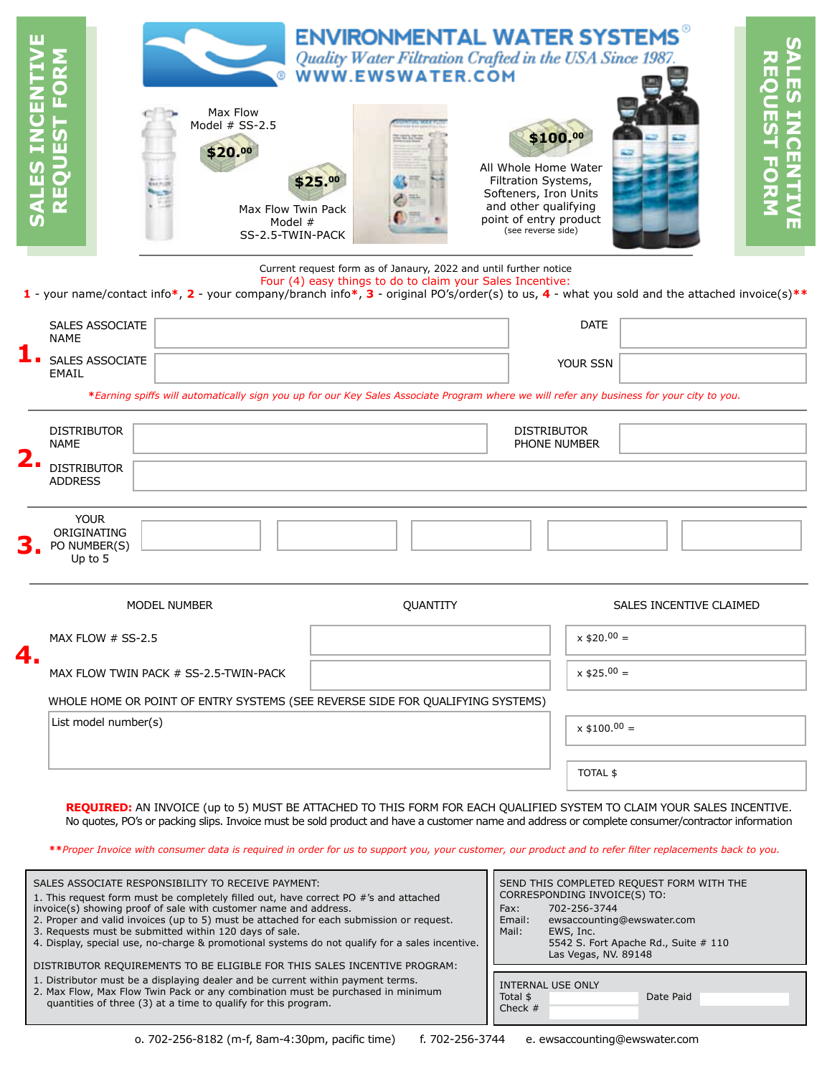| SALES INCENT                                                                                                                                                                                                                                                                    | $\overline{\mathsf{O}}$<br>QUEST F<br>ш                 | Max Flow<br>Model $#$ SS-2.5<br>\$20.00<br>Max Flow Twin Pack<br>Model #<br>SS-2.5-TWIN-PACK                                              | <b>ENVIRONMENTAL WATER SYSTEMS</b><br>Quality Water Filtration Crafted in the USA Since 1987.<br><b>WWW.EWSWATER.COM</b><br>\$25.00 | \$100.00<br>All Whole Home Water<br>Filtration Systems,<br>Softeners, Iron Units<br>and other qualifying<br>point of entry product<br>(see reverse side) |                         | ПT.<br>5<br>S<br>$\bullet$<br>$\frac{1}{2}$<br>ロスコリ<br>n i<br>$\mathbf \Omega$<br>ш |  |  |  |  |  |
|---------------------------------------------------------------------------------------------------------------------------------------------------------------------------------------------------------------------------------------------------------------------------------|---------------------------------------------------------|-------------------------------------------------------------------------------------------------------------------------------------------|-------------------------------------------------------------------------------------------------------------------------------------|----------------------------------------------------------------------------------------------------------------------------------------------------------|-------------------------|-------------------------------------------------------------------------------------|--|--|--|--|--|
| Current request form as of Janaury, 2022 and until further notice<br>Four (4) easy things to do to claim your Sales Incentive:<br>1 - your name/contact info*, 2 - your company/branch info*, 3 - original PO's/order(s) to us, 4 - what you sold and the attached invoice(s)** |                                                         |                                                                                                                                           |                                                                                                                                     |                                                                                                                                                          |                         |                                                                                     |  |  |  |  |  |
|                                                                                                                                                                                                                                                                                 | <b>SALES ASSOCIATE</b><br><b>NAME</b>                   |                                                                                                                                           |                                                                                                                                     |                                                                                                                                                          | <b>DATE</b>             |                                                                                     |  |  |  |  |  |
|                                                                                                                                                                                                                                                                                 | <b>SALES ASSOCIATE</b><br><b>EMAIL</b>                  | *Earning spiffs will automatically sign you up for our Key Sales Associate Program where we will refer any business for your city to you. |                                                                                                                                     |                                                                                                                                                          | YOUR SSN                |                                                                                     |  |  |  |  |  |
| 2.                                                                                                                                                                                                                                                                              | <b>DISTRIBUTOR</b><br><b>NAME</b><br><b>DISTRIBUTOR</b> |                                                                                                                                           |                                                                                                                                     | <b>DISTRIBUTOR</b><br>PHONE NUMBER                                                                                                                       |                         |                                                                                     |  |  |  |  |  |
|                                                                                                                                                                                                                                                                                 | <b>ADDRESS</b>                                          |                                                                                                                                           |                                                                                                                                     |                                                                                                                                                          |                         |                                                                                     |  |  |  |  |  |
|                                                                                                                                                                                                                                                                                 | <b>YOUR</b><br>ORIGINATING<br>PO NUMBER(S)<br>Up to $5$ |                                                                                                                                           |                                                                                                                                     |                                                                                                                                                          |                         |                                                                                     |  |  |  |  |  |
|                                                                                                                                                                                                                                                                                 |                                                         | MODEL NUMBER                                                                                                                              | QUANTITY                                                                                                                            |                                                                                                                                                          | SALES INCENTIVE CLAIMED |                                                                                     |  |  |  |  |  |
|                                                                                                                                                                                                                                                                                 | MAX FLOW # SS-2.5                                       |                                                                                                                                           |                                                                                                                                     |                                                                                                                                                          | $x$ \$20.00 =           |                                                                                     |  |  |  |  |  |
| 4.                                                                                                                                                                                                                                                                              | MAX FLOW TWIN PACK # SS-2.5-TWIN-PACK                   |                                                                                                                                           |                                                                                                                                     | $x$ \$25.00 =                                                                                                                                            |                         |                                                                                     |  |  |  |  |  |
|                                                                                                                                                                                                                                                                                 |                                                         | WHOLE HOME OR POINT OF ENTRY SYSTEMS (SEE REVERSE SIDE FOR QUALIFYING SYSTEMS)                                                            |                                                                                                                                     |                                                                                                                                                          |                         |                                                                                     |  |  |  |  |  |
|                                                                                                                                                                                                                                                                                 | List model number(s)                                    |                                                                                                                                           |                                                                                                                                     |                                                                                                                                                          | $x$ \$100.00 =          |                                                                                     |  |  |  |  |  |
|                                                                                                                                                                                                                                                                                 |                                                         |                                                                                                                                           |                                                                                                                                     |                                                                                                                                                          | TOTAL \$                |                                                                                     |  |  |  |  |  |

**REQUIRED:** AN INVOICE (up to 5) MUST BE ATTACHED TO THIS FORM FOR EACH QUALIFIED SYSTEM TO CLAIM YOUR SALES INCENTIVE. No quotes, PO's or packing slips. Invoice must be sold product and have a customer name and address or complete consumer/contractor information

**\*\****Proper Invoice with consumer data is required in order for us to support you, your customer, our product and to refer filter replacements back to you.* 

| SALES ASSOCIATE RESPONSIBILITY TO RECEIVE PAYMENT:<br>1. This request form must be completely filled out, have correct PO #'s and attached<br>invoice(s) showing proof of sale with customer name and address.<br>2. Proper and valid invoices (up to 5) must be attached for each submission or request.<br>3. Requests must be submitted within 120 days of sale.<br>4. Display, special use, no-charge & promotional systems do not qualify for a sales incentive. | SEND THIS COMPLETED REQUEST FORM WITH THE<br>CORRESPONDING INVOICE(S) TO:<br>702-256-3744<br>Fax:<br>Email:<br>ewsaccounting@ewswater.com<br>Mail:<br>EWS, Inc.<br>5542 S. Fort Apache Rd., Suite # 110<br>Las Vegas, NV. 89148 |  |  |
|-----------------------------------------------------------------------------------------------------------------------------------------------------------------------------------------------------------------------------------------------------------------------------------------------------------------------------------------------------------------------------------------------------------------------------------------------------------------------|---------------------------------------------------------------------------------------------------------------------------------------------------------------------------------------------------------------------------------|--|--|
| DISTRIBUTOR REQUIREMENTS TO BE ELIGIBLE FOR THIS SALES INCENTIVE PROGRAM:                                                                                                                                                                                                                                                                                                                                                                                             | INTERNAL USE ONLY                                                                                                                                                                                                               |  |  |
| 1. Distributor must be a displaying dealer and be current within payment terms.                                                                                                                                                                                                                                                                                                                                                                                       | Total \$                                                                                                                                                                                                                        |  |  |
| 2. Max Flow, Max Flow Twin Pack or any combination must be purchased in minimum                                                                                                                                                                                                                                                                                                                                                                                       | Date Paid                                                                                                                                                                                                                       |  |  |
| quantities of three (3) at a time to qualify for this program.                                                                                                                                                                                                                                                                                                                                                                                                        | Check $#$                                                                                                                                                                                                                       |  |  |